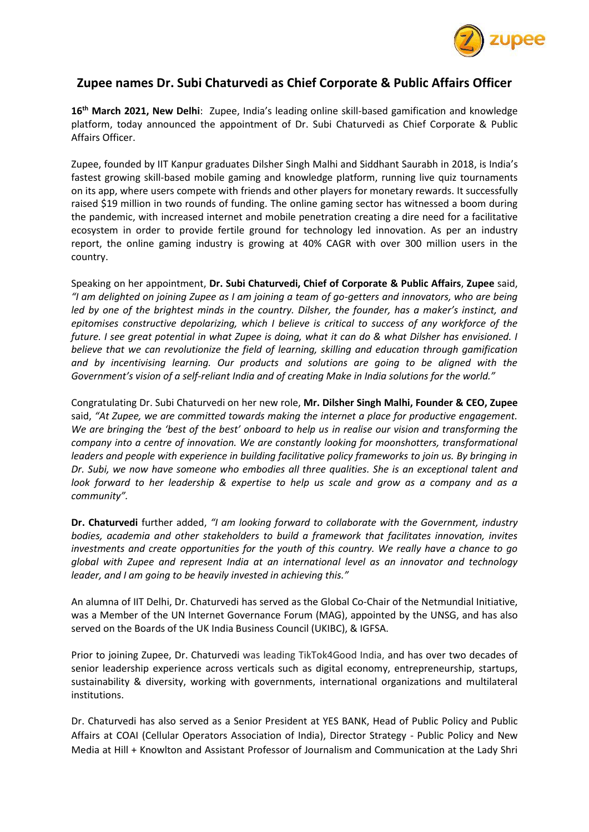

## **Zupee names Dr. Subi Chaturvedi as Chief Corporate & Public Affairs Officer**

**16th March 2021, New Delhi**: Zupee, India's leading online skill-based gamification and knowledge platform, today announced the appointment of Dr. Subi Chaturvedi as Chief Corporate & Public Affairs Officer.

Zupee, founded by IIT Kanpur graduates Dilsher Singh Malhi and Siddhant Saurabh in 2018, is India's fastest growing skill-based mobile gaming and knowledge platform, running live quiz tournaments on its app, where users compete with friends and other players for monetary rewards. It successfully raised \$19 million in two rounds of funding. The online gaming sector has witnessed a boom during the pandemic, with increased internet and mobile penetration creating a dire need for a facilitative ecosystem in order to provide fertile ground for technology led innovation. As per an industry report, the online gaming industry is growing at 40% CAGR with over 300 million users in the country.

Speaking on her appointment, **Dr. Subi Chaturvedi, Chief of Corporate & Public Affairs**, **Zupee** said, *"I am delighted on joining Zupee as I am joining a team of go-getters and innovators, who are being led by one of the brightest minds in the country. Dilsher, the founder, has a maker's instinct, and epitomises constructive depolarizing, which I believe is critical to success of any workforce of the future. I see great potential in what Zupee is doing, what it can do & what Dilsher has envisioned. I believe that we can revolutionize the field of learning, skilling and education through gamification and by incentivising learning. Our products and solutions are going to be aligned with the Government's vision of a self-reliant India and of creating Make in India solutions for the world."*

Congratulating Dr. Subi Chaturvedi on her new role, **Mr. Dilsher Singh Malhi, Founder & CEO, Zupee** said, *"At Zupee, we are committed towards making the internet a place for productive engagement. We are bringing the 'best of the best' onboard to help us in realise our vision and transforming the company into a centre of innovation. We are constantly looking for moonshotters, transformational leaders and people with experience in building facilitative policy frameworks to join us. By bringing in Dr. Subi, we now have someone who embodies all three qualities. She is an exceptional talent and look forward to her leadership & expertise to help us scale and grow as a company and as a community".* 

**Dr. Chaturvedi** further added, *"I am looking forward to collaborate with the Government, industry bodies, academia and other stakeholders to build a framework that facilitates innovation, invites investments and create opportunities for the youth of this country. We really have a chance to go global with Zupee and represent India at an international level as an innovator and technology leader, and I am going to be heavily invested in achieving this."*

An alumna of IIT Delhi, Dr. Chaturvedi has served as the Global Co-Chair of the Netmundial Initiative, was a Member of the UN Internet Governance Forum (MAG), appointed by the UNSG, and has also served on the Boards of the UK India Business Council (UKIBC), & IGFSA.

Prior to joining Zupee, Dr. Chaturvedi was leading TikTok4Good India, and has over two decades of senior leadership experience across verticals such as digital economy, entrepreneurship, startups, sustainability & diversity, working with governments, international organizations and multilateral institutions.

Dr. Chaturvedi has also served as a Senior President at YES BANK, Head of Public Policy and Public Affairs at COAI (Cellular Operators Association of India), Director Strategy - Public Policy and New Media at Hill + Knowlton and Assistant Professor of Journalism and Communication at the Lady Shri